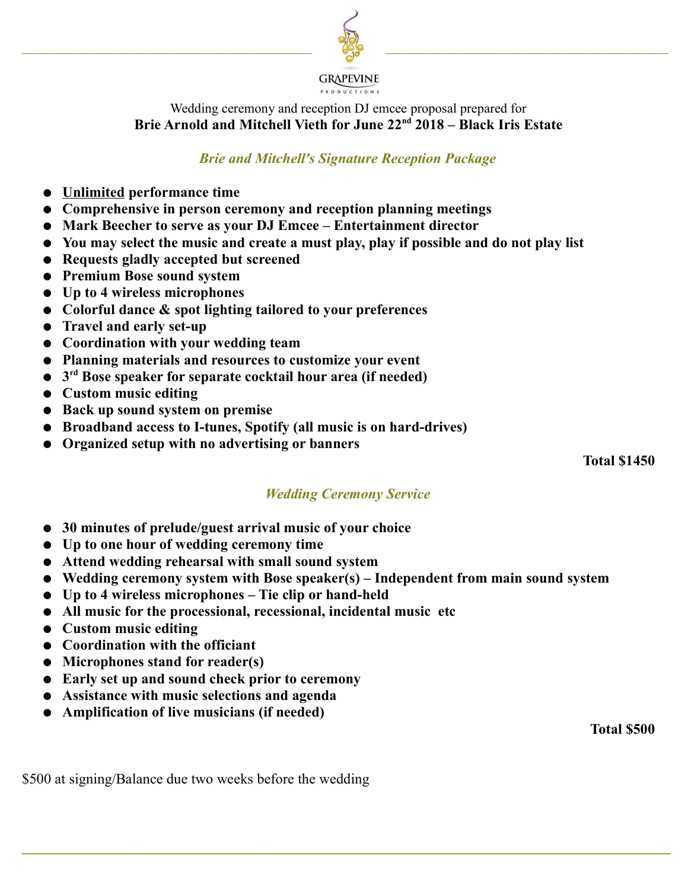

Wedding ceremony and reception DJ emcee proposal prepared for Brie Arnold and Mitchell Vieth for June 22<sup>nd</sup> 2018 – Black Iris Estate

### Brie and Mitchell's Signature Reception Package

- Unlimited performance time
- Comprehensive in person ceremony and reception planning meetings
- Mark Beecher to serve as your DJ Emcee Entertainment director
- You may select the music and create a must play, play if possible and do not play list
- Requests gladly accepted but screened
- Premium Bose sound system
- Up to 4 wireless microphones
- Colorful dance & spot lighting tailored to your preferences
- Travel and early set-up
- Coordination with your wedding team
- Planning materials and resources to customize your event
- 3<sup>rd</sup> Bose speaker for separate cocktail hour area (if needed)
- Custom music editing
- Back up sound system on premise
- Broadband access to I-tunes, Spotify (all music is on hard-drives)
- Organized setup with no advertising or banners

Total \$1450

## Wedding Ceremony Service

 $\_$  ,  $\_$  ,  $\_$  ,  $\_$  ,  $\_$  ,  $\_$  ,  $\_$  ,  $\_$  ,  $\_$  ,  $\_$  ,  $\_$  ,  $\_$  ,  $\_$  ,  $\_$  ,  $\_$  ,  $\_$  ,  $\_$  ,  $\_$  ,  $\_$  ,  $\_$  ,  $\_$  ,  $\_$  ,  $\_$  ,  $\_$  ,  $\_$  ,  $\_$  ,  $\_$  ,  $\_$  ,  $\_$  ,  $\_$  ,  $\_$  ,  $\_$  ,  $\_$  ,  $\_$  ,  $\_$  ,  $\_$  ,  $\_$  ,

- 30 minutes of prelude/guest arrival music of your choice
- Up to one hour of wedding ceremony time
- Attend wedding rehearsal with small sound system
- Wedding ceremony system with Bose speaker(s) Independent from main sound system
- Up to 4 wireless microphones Tie clip or hand-held
- All music for the processional, recessional, incidental music etc
- Custom music editing
- Coordination with the officiant
- Microphones stand for reader(s)
- Early set up and sound check prior to ceremony
- Assistance with music selections and agenda
- Amplification of live musicians (if needed)

Total \$500

\$500 at signing/Balance due two weeks before the wedding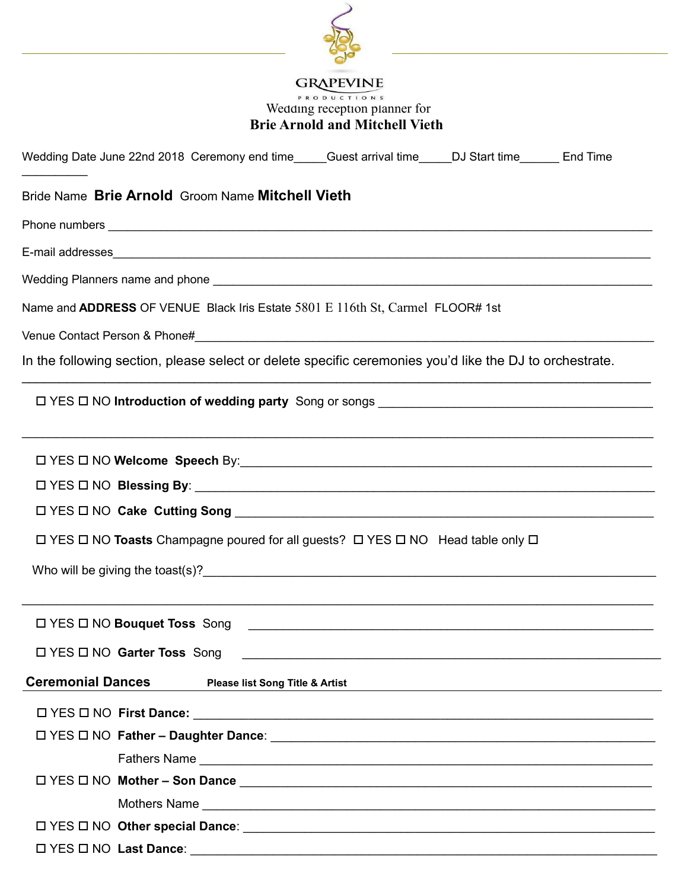

**GRAPEVINE**<br>Wedding reception planner for

# Brie Arnold and Mitchell Vieth

| Wedding Date June 22nd 2018 Ceremony end time_____Guest arrival time_____DJ Start time_______ End Time                                                                                                                               |                                                         |  |
|--------------------------------------------------------------------------------------------------------------------------------------------------------------------------------------------------------------------------------------|---------------------------------------------------------|--|
| Bride Name Brie Arnold Groom Name Mitchell Vieth                                                                                                                                                                                     |                                                         |  |
|                                                                                                                                                                                                                                      |                                                         |  |
| E-mail addresses <b>with a control of the control of the control of the control of the control of the control of the control of the control of the control of the control of the control of the control of the control of the co</b> |                                                         |  |
|                                                                                                                                                                                                                                      |                                                         |  |
| Name and ADDRESS OF VENUE Black Iris Estate 5801 E 116th St, Carmel FLOOR# 1st                                                                                                                                                       |                                                         |  |
|                                                                                                                                                                                                                                      |                                                         |  |
| In the following section, please select or delete specific ceremonies you'd like the DJ to orchestrate.                                                                                                                              |                                                         |  |
|                                                                                                                                                                                                                                      |                                                         |  |
| <u> 1989 - Johann Harry Harry Harry Harry Harry Harry Harry Harry Harry Harry Harry Harry Harry Harry Harry Harry</u>                                                                                                                |                                                         |  |
|                                                                                                                                                                                                                                      |                                                         |  |
|                                                                                                                                                                                                                                      |                                                         |  |
| □ YES □ NO Toasts Champagne poured for all guests? □ YES □ NO Head table only □                                                                                                                                                      |                                                         |  |
|                                                                                                                                                                                                                                      |                                                         |  |
|                                                                                                                                                                                                                                      |                                                         |  |
| $\Box$ YES $\Box$ NO <b>Bouquet Toss</b> Song                                                                                                                                                                                        | <u> 1980 - Johann Barnett, fransk politik (f. 1980)</u> |  |
| □ YES □ NO Garter Toss Song                                                                                                                                                                                                          |                                                         |  |
| <b>Ceremonial Dances</b><br>Please list Song Title & Artist                                                                                                                                                                          |                                                         |  |
|                                                                                                                                                                                                                                      |                                                         |  |
|                                                                                                                                                                                                                                      |                                                         |  |
|                                                                                                                                                                                                                                      |                                                         |  |
|                                                                                                                                                                                                                                      |                                                         |  |
|                                                                                                                                                                                                                                      |                                                         |  |
|                                                                                                                                                                                                                                      |                                                         |  |
| $\Box$ YES $\Box$ NO Last Dance:                                                                                                                                                                                                     |                                                         |  |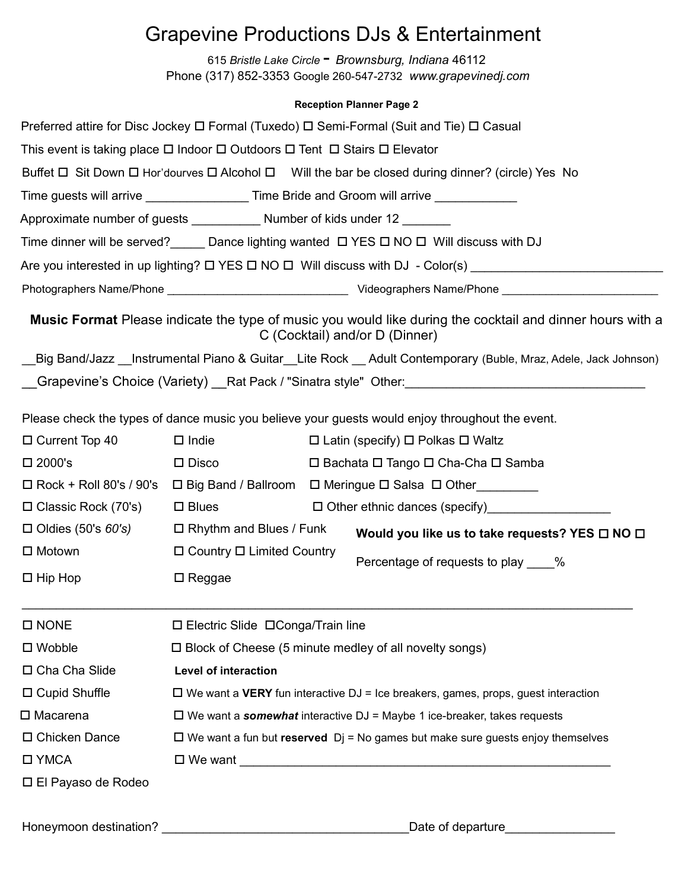# Grapevine Productions DJs & Entertainment

615 Bristle Lake Circle - Brownsburg, Indiana 46112 Phone (317) 852-3353 Google 260-547-2732 www.grapevinedj.com

#### Reception Planner Page 2

|                                                                                                    |                                                                                                |  | Preferred attire for Disc Jockey $\Box$ Formal (Tuxedo) $\Box$ Semi-Formal (Suit and Tie) $\Box$ Casual                                     |  |
|----------------------------------------------------------------------------------------------------|------------------------------------------------------------------------------------------------|--|---------------------------------------------------------------------------------------------------------------------------------------------|--|
| This event is taking place $\Box$ Indoor $\Box$ Outdoors $\Box$ Tent $\Box$ Stairs $\Box$ Elevator |                                                                                                |  |                                                                                                                                             |  |
|                                                                                                    |                                                                                                |  | Buffet □ Sit Down □ Hor'dourves □ Alcohol □ Will the bar be closed during dinner? (circle) Yes No                                           |  |
|                                                                                                    |                                                                                                |  | Time guests will arrive ____________________Time Bride and Groom will arrive _____________                                                  |  |
| Approximate number of guests ______________ Number of kids under 12 ________                       |                                                                                                |  |                                                                                                                                             |  |
|                                                                                                    |                                                                                                |  | Time dinner will be served? Dance lighting wanted $\Box$ YES $\Box$ NO $\Box$ Will discuss with DJ                                          |  |
|                                                                                                    |                                                                                                |  |                                                                                                                                             |  |
|                                                                                                    |                                                                                                |  |                                                                                                                                             |  |
|                                                                                                    |                                                                                                |  | Music Format Please indicate the type of music you would like during the cocktail and dinner hours with a<br>C (Cocktail) and/or D (Dinner) |  |
|                                                                                                    |                                                                                                |  | Big Band/Jazz __Instrumental Piano & Guitar__Lite Rock __Adult Contemporary (Buble, Mraz, Adele, Jack Johnson)                              |  |
|                                                                                                    |                                                                                                |  | _Grapevine's Choice (Variety) __Rat Pack / "Sinatra style" Other:___________________________________                                        |  |
|                                                                                                    |                                                                                                |  |                                                                                                                                             |  |
|                                                                                                    |                                                                                                |  | Please check the types of dance music you believe your guests would enjoy throughout the event.                                             |  |
| $\Box$ Current Top 40<br>$\square$ 2000's                                                          | $\square$ Indie<br>$\square$ Disco                                                             |  | $\Box$ Latin (specify) $\Box$ Polkas $\Box$ Waltz                                                                                           |  |
|                                                                                                    |                                                                                                |  | □ Bachata □ Tango □ Cha-Cha □ Samba<br>□ Rock + Roll 80's / 90's □ Big Band / Ballroom □ Meringue □ Salsa □ Other                           |  |
| $\Box$ Classic Rock (70's)                                                                         | $\square$ Blues                                                                                |  | □ Other ethnic dances (specify)<br>□                                                                                                        |  |
| $\square$ Oldies (50's 60's)                                                                       | $\Box$ Rhythm and Blues / Funk                                                                 |  |                                                                                                                                             |  |
| $\Box$ Motown                                                                                      | $\Box$ Country $\Box$ Limited Country                                                          |  | Would you like us to take requests? YES □ NO □                                                                                              |  |
|                                                                                                    |                                                                                                |  | Percentage of requests to play ____%                                                                                                        |  |
| $\Box$ Hip Hop                                                                                     | $\Box$ Reggae                                                                                  |  |                                                                                                                                             |  |
| $\square$ NONE                                                                                     | □ Electric Slide □ Conga/Train line                                                            |  |                                                                                                                                             |  |
| $\square$ Wobble                                                                                   | $\Box$ Block of Cheese (5 minute medley of all novelty songs)                                  |  |                                                                                                                                             |  |
| □ Cha Cha Slide                                                                                    | <b>Level of interaction</b>                                                                    |  |                                                                                                                                             |  |
| $\Box$ Cupid Shuffle                                                                               | $\Box$ We want a VERY fun interactive DJ = Ice breakers, games, props, guest interaction       |  |                                                                                                                                             |  |
| $\square$ Macarena                                                                                 | $\Box$ We want a <b>somewhat</b> interactive DJ = Maybe 1 ice-breaker, takes requests          |  |                                                                                                                                             |  |
| □ Chicken Dance                                                                                    | $\Box$ We want a fun but <b>reserved</b> $Dj = No$ games but make sure guests enjoy themselves |  |                                                                                                                                             |  |
| □ YMCA                                                                                             |                                                                                                |  |                                                                                                                                             |  |
| □ El Payaso de Rodeo                                                                               |                                                                                                |  |                                                                                                                                             |  |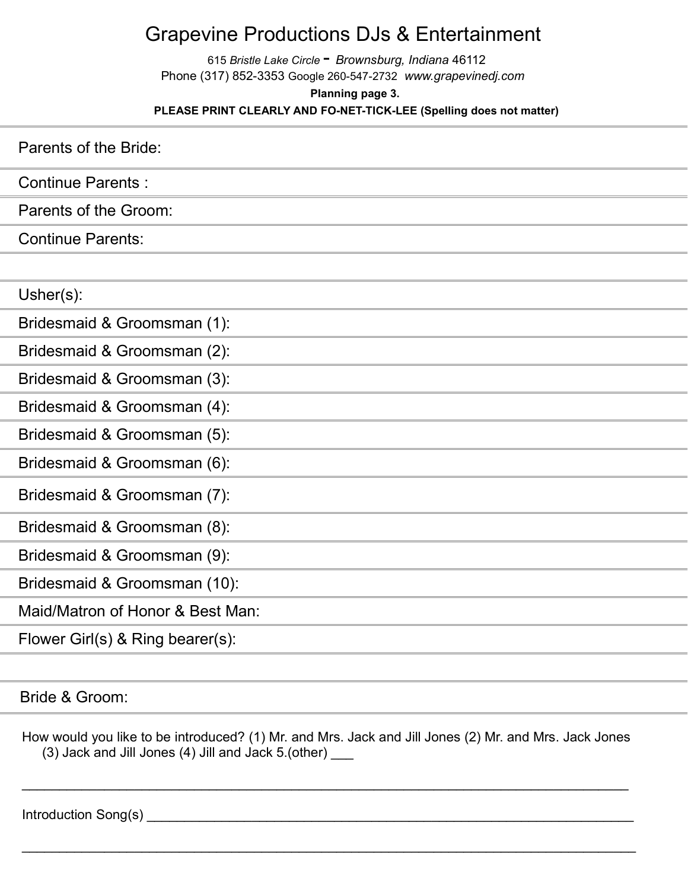# Grapevine Productions DJs & Entertainment

615 Bristle Lake Circle - Brownsburg, Indiana 46112 Phone (317) 852-3353 Google 260-547-2732 www.grapevinedj.com

Planning page 3.

PLEASE PRINT CLEARLY AND FO-NET-TICK-LEE (Spelling does not matter)

| Parents of the Bride:            |
|----------------------------------|
| <b>Continue Parents:</b>         |
| Parents of the Groom:            |
| <b>Continue Parents:</b>         |
|                                  |
| Usher(s):                        |
| Bridesmaid & Groomsman (1):      |
| Bridesmaid & Groomsman (2):      |
| Bridesmaid & Groomsman (3):      |
| Bridesmaid & Groomsman (4):      |
| Bridesmaid & Groomsman (5):      |
| Bridesmaid & Groomsman (6):      |
| Bridesmaid & Groomsman (7):      |
| Bridesmaid & Groomsman (8):      |
| Bridesmaid & Groomsman (9):      |
| Bridesmaid & Groomsman (10):     |
| Maid/Matron of Honor & Best Man: |
| Flower Girl(s) & Ring bearer(s): |
|                                  |

Bride & Groom:

How would you like to be introduced? (1) Mr. and Mrs. Jack and Jill Jones (2) Mr. and Mrs. Jack Jones (3) Jack and Jill Jones (4) Jill and Jack 5.(other) \_\_\_

\_\_\_\_\_\_\_\_\_\_\_\_\_\_\_\_\_\_\_\_\_\_\_\_\_\_\_\_\_\_\_\_\_\_\_\_\_\_\_\_\_\_\_\_\_\_\_\_\_\_\_\_\_\_\_\_\_\_\_\_\_\_\_\_\_\_\_\_\_\_\_\_\_\_\_\_\_\_\_\_\_

 $\mathcal{L}_\mathcal{L} = \{ \mathcal{L}_\mathcal{L} = \{ \mathcal{L}_\mathcal{L} = \{ \mathcal{L}_\mathcal{L} = \{ \mathcal{L}_\mathcal{L} = \{ \mathcal{L}_\mathcal{L} = \{ \mathcal{L}_\mathcal{L} = \{ \mathcal{L}_\mathcal{L} = \{ \mathcal{L}_\mathcal{L} = \{ \mathcal{L}_\mathcal{L} = \{ \mathcal{L}_\mathcal{L} = \{ \mathcal{L}_\mathcal{L} = \{ \mathcal{L}_\mathcal{L} = \{ \mathcal{L}_\mathcal{L} = \{ \mathcal{L}_\mathcal{$ 

Introduction Song(s)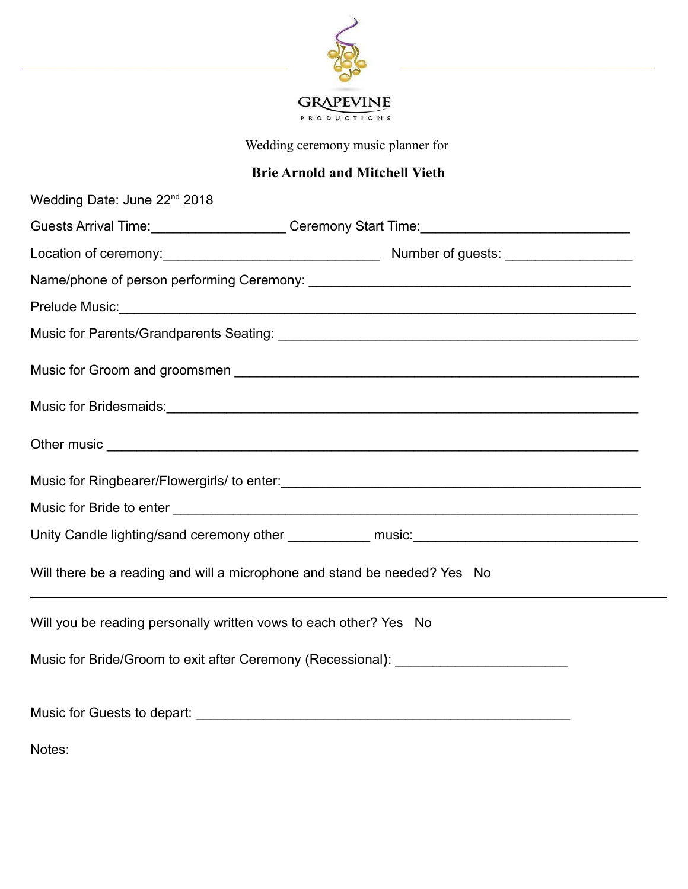

Wedding ceremony music planner for

# Brie Arnold and Mitchell Vieth

| Wedding Date: June 22 <sup>nd</sup> 2018                                                                                                                      |  |  |  |
|---------------------------------------------------------------------------------------------------------------------------------------------------------------|--|--|--|
| Guests Arrival Time: _________________________Ceremony Start Time: _________________________________                                                          |  |  |  |
|                                                                                                                                                               |  |  |  |
|                                                                                                                                                               |  |  |  |
|                                                                                                                                                               |  |  |  |
|                                                                                                                                                               |  |  |  |
|                                                                                                                                                               |  |  |  |
|                                                                                                                                                               |  |  |  |
|                                                                                                                                                               |  |  |  |
|                                                                                                                                                               |  |  |  |
|                                                                                                                                                               |  |  |  |
| Unity Candle lighting/sand ceremony other ____________ music:____________________                                                                             |  |  |  |
| Will there be a reading and will a microphone and stand be needed? Yes No<br>,我们也不会有什么。""我们的人,我们也不会有什么?""我们的人,我们也不会有什么?""我们的人,我们也不会有什么?""我们的人,我们也不会有什么?""我们的人 |  |  |  |
| Will you be reading personally written vows to each other? Yes No                                                                                             |  |  |  |
| Music for Bride/Groom to exit after Ceremony (Recessional): ____________________                                                                              |  |  |  |
|                                                                                                                                                               |  |  |  |
|                                                                                                                                                               |  |  |  |

Notes: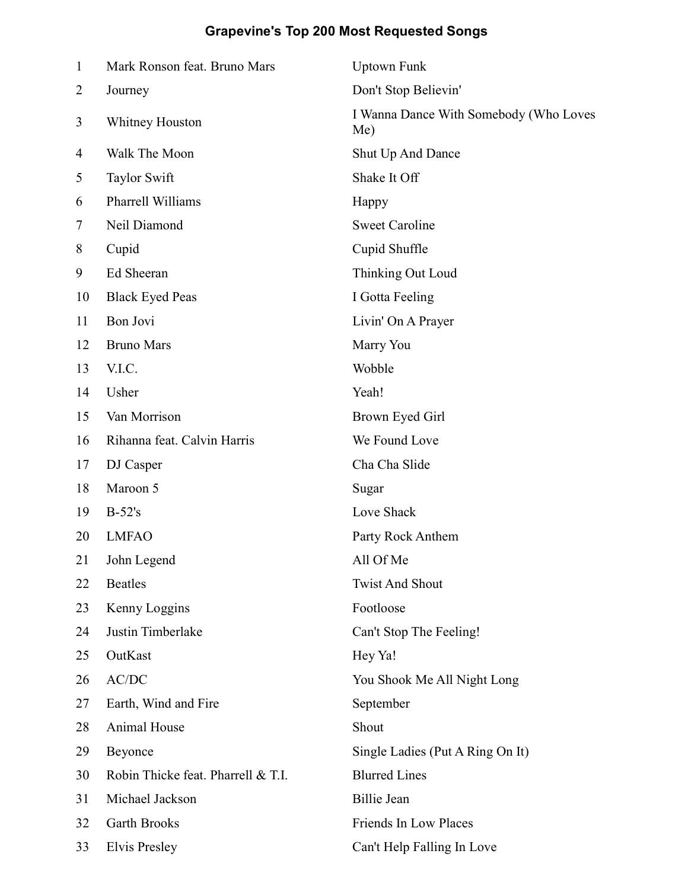# Grapevine's Top 200 Most Requested Songs

| $\mathbf{1}$ | Mark Ronson feat. Bruno Mars       | <b>Uptown Funk</b>                            |
|--------------|------------------------------------|-----------------------------------------------|
| 2            | Journey                            | Don't Stop Believin'                          |
| 3            | <b>Whitney Houston</b>             | I Wanna Dance With Somebody (Who Loves<br>Me) |
| 4            | Walk The Moon                      | Shut Up And Dance                             |
| 5            | Taylor Swift                       | Shake It Off                                  |
| 6            | Pharrell Williams                  | Happy                                         |
| 7            | Neil Diamond                       | <b>Sweet Caroline</b>                         |
| 8            | Cupid                              | Cupid Shuffle                                 |
| 9            | Ed Sheeran                         | Thinking Out Loud                             |
| 10           | <b>Black Eyed Peas</b>             | I Gotta Feeling                               |
| 11           | Bon Jovi                           | Livin' On A Prayer                            |
| 12           | <b>Bruno Mars</b>                  | Marry You                                     |
| 13           | V.I.C.                             | Wobble                                        |
| 14           | Usher                              | Yeah!                                         |
| 15           | Van Morrison                       | Brown Eyed Girl                               |
| 16           | Rihanna feat. Calvin Harris        | We Found Love                                 |
| 17           | DJ Casper                          | Cha Cha Slide                                 |
| 18           | Maroon 5                           | Sugar                                         |
| 19           | $B-52's$                           | Love Shack                                    |
| 20           | <b>LMFAO</b>                       | Party Rock Anthem                             |
| 21           | John Legend                        | All Of Me                                     |
| 22           | <b>Beatles</b>                     | <b>Twist And Shout</b>                        |
| 23           | Kenny Loggins                      | Footloose                                     |
| 24           | Justin Timberlake                  | Can't Stop The Feeling!                       |
| 25           | OutKast                            | Hey Ya!                                       |
| 26           | AC/DC                              | You Shook Me All Night Long                   |
| 27           | Earth, Wind and Fire               | September                                     |
| 28           | Animal House                       | Shout                                         |
| 29           | Beyonce                            | Single Ladies (Put A Ring On It)              |
| 30           | Robin Thicke feat. Pharrell & T.I. | <b>Blurred Lines</b>                          |
| 31           | Michael Jackson                    | Billie Jean                                   |
| 32           | Garth Brooks                       | Friends In Low Places                         |
| 33           | <b>Elvis Presley</b>               | Can't Help Falling In Love                    |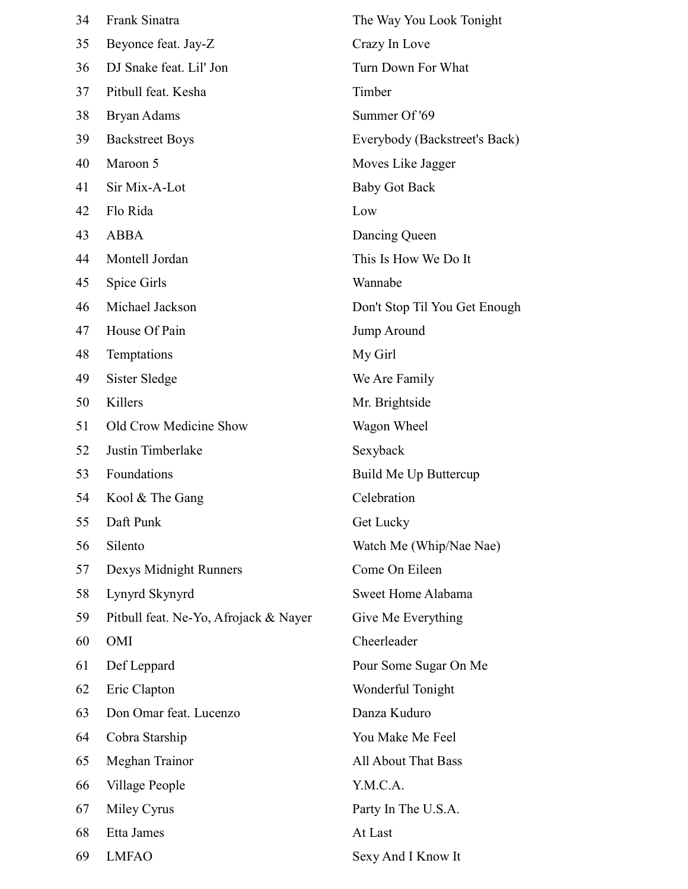| 34 | Frank Sinatra                         | The Way You Look     |
|----|---------------------------------------|----------------------|
| 35 | Beyonce feat. Jay-Z                   | Crazy In Love        |
| 36 | DJ Snake feat. Lil' Jon               | Turn Down For Wha    |
| 37 | Pitbull feat. Kesha                   | Timber               |
| 38 | Bryan Adams                           | Summer Of '69        |
| 39 | <b>Backstreet Boys</b>                | Everybody (Backstro  |
| 40 | Maroon 5                              | Moves Like Jagger    |
| 41 | Sir Mix-A-Lot                         | <b>Baby Got Back</b> |
| 42 | Flo Rida                              | Low                  |
| 43 | <b>ABBA</b>                           | Dancing Queen        |
| 44 | Montell Jordan                        | This Is How We Do    |
| 45 | Spice Girls                           | Wannabe              |
| 46 | Michael Jackson                       | Don't Stop Til You C |
| 47 | House Of Pain                         | Jump Around          |
| 48 | Temptations                           | My Girl              |
| 49 | Sister Sledge                         | We Are Family        |
| 50 | Killers                               | Mr. Brightside       |
| 51 | Old Crow Medicine Show                | Wagon Wheel          |
| 52 | Justin Timberlake                     | Sexyback             |
| 53 | Foundations                           | Build Me Up Butter   |
| 54 | Kool & The Gang                       | Celebration          |
| 55 | Daft Punk                             | Get Lucky            |
| 56 | Silento                               | Watch Me (Whip/Na    |
| 57 | Dexys Midnight Runners                | Come On Eileen       |
| 58 | Lynyrd Skynyrd                        | Sweet Home Alaban    |
| 59 | Pitbull feat. Ne-Yo, Afrojack & Nayer | Give Me Everything   |
| 60 | OMI                                   | Cheerleader          |
| 61 | Def Leppard                           | Pour Some Sugar Or   |
| 62 | Eric Clapton                          | Wonderful Tonight    |
| 63 | Don Omar feat. Lucenzo                | Danza Kuduro         |
| 64 | Cobra Starship                        | You Make Me Feel     |
| 65 | Meghan Trainor                        | All About That Bass  |
| 66 | Village People                        | Y.M.C.A.             |
| 67 | Miley Cyrus                           | Party In The U.S.A.  |
| 68 | Etta James                            | At Last              |
| 69 | <b>LMFAO</b>                          | Sexy And I Know It   |

The Way You Look Tonight Crazy In Love Turn Down For What. Summer Of '69 Everybody (Backstreet's Back) Moves Like Jagger Baby Got Back Dancing Queen This Is How We Do It Don't Stop Til You Get Enough Jump Around My Girl We Are Family Mr. Brightside Wagon Wheel Sexyback Build Me Up Buttercup Celebration Get Lucky Watch Me (Whip/Nae Nae) Come On Eileen Sweet Home Alabama Give Me Everything **Cheerleader** Pour Some Sugar On Me Wonderful Tonight Danza Kuduro You Make Me Feel All About That Bass Y.M.C.A. Party In The U.S.A.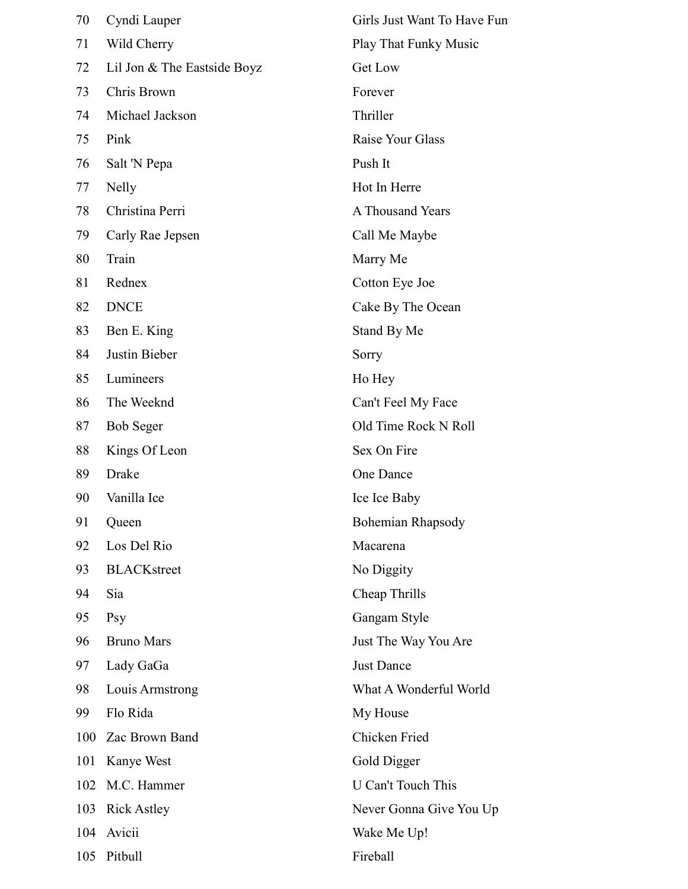| 70  | Cyndi Lauper                | Girls Just Want To Have Fu |
|-----|-----------------------------|----------------------------|
| 71  | Wild Cherry                 | Play That Funky Music      |
| 72  | Lil Jon & The Eastside Boyz | <b>Get Low</b>             |
| 73  | Chris Brown                 | Forever                    |
| 74  | Michael Jackson             | Thriller                   |
| 75  | Pink                        | Raise Your Glass           |
| 76  | Salt 'N Pepa                | Push It                    |
| 77  | Nelly                       | Hot In Herre               |
| 78  | Christina Perri             | A Thousand Years           |
| 79  | Carly Rae Jepsen            | Call Me Maybe              |
| 80  | Train                       | Marry Me                   |
| 81  | Rednex                      | Cotton Eye Joe             |
| 82  | <b>DNCE</b>                 | Cake By The Ocean          |
| 83  | Ben E. King                 | Stand By Me                |
| 84  | Justin Bieber               | Sorry                      |
| 85  | Lumineers                   | Ho Hey                     |
| 86  | The Weeknd                  | Can't Feel My Face         |
| 87  | Bob Seger                   | Old Time Rock N Roll       |
| 88  | Kings Of Leon               | Sex On Fire                |
| 89  | Drake                       | One Dance                  |
| 90  | Vanilla Ice                 | Ice Ice Baby               |
| 91  | Queen                       | <b>Bohemian Rhapsody</b>   |
| 92  | Los Del Rio                 | Macarena                   |
| 93  | <b>BLACK</b> street         | No Diggity                 |
| 94  | Sia                         | Cheap Thrills              |
| 95  | Psy                         | Gangam Style               |
| 96  | <b>Bruno Mars</b>           | Just The Way You Are       |
| 97  | Lady GaGa                   | <b>Just Dance</b>          |
| 98  | Louis Armstrong             | What A Wonderful World     |
| 99  | Flo Rida                    | My House                   |
| 100 | Zac Brown Band              | Chicken Fried              |
| 101 | Kanye West                  | Gold Digger                |
| 102 | M.C. Hammer                 | <b>U</b> Can't Touch This  |
| 103 | <b>Rick Astley</b>          | Never Gonna Give You Up    |
| 104 | Avicii                      | Wake Me Up!                |
| 105 | Pitbull                     | Fireball                   |

Have Fun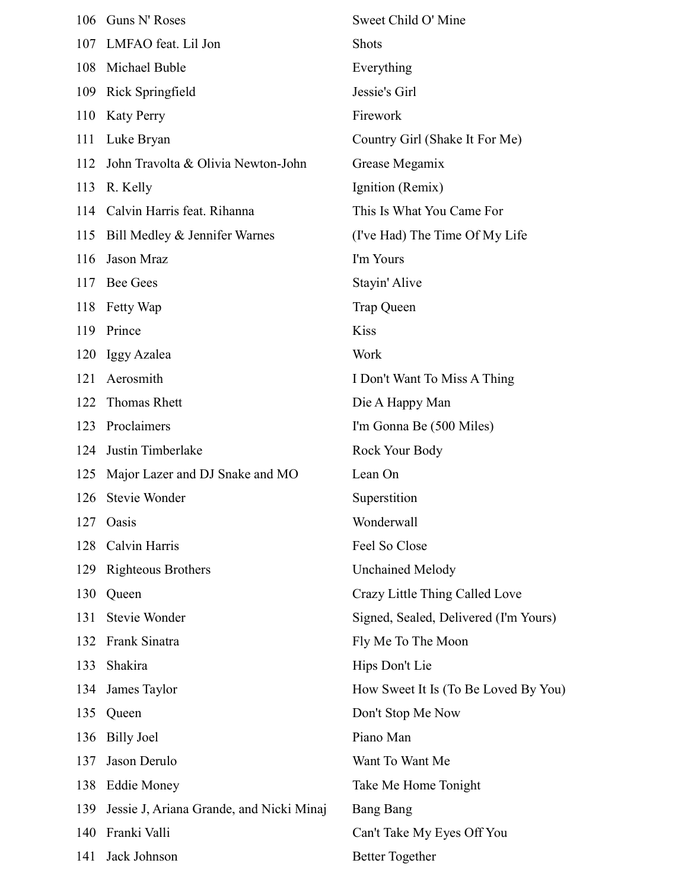| Guns N' Roses                            | Sweet Child O' Mine                   |
|------------------------------------------|---------------------------------------|
| LMFAO feat. Lil Jon                      | Shots                                 |
| Michael Buble                            | Everything                            |
| Rick Springfield                         | Jessie's Girl                         |
| <b>Katy Perry</b>                        | Firework                              |
| Luke Bryan                               | Country Girl (Shake It For Me)        |
| John Travolta & Olivia Newton-John       | Grease Megamix                        |
| R. Kelly                                 | Ignition (Remix)                      |
| Calvin Harris feat. Rihanna              | This Is What You Came For             |
| Bill Medley & Jennifer Warnes            | (I've Had) The Time Of My Life        |
| Jason Mraz                               | I'm Yours                             |
| <b>Bee Gees</b>                          | Stayin' Alive                         |
| Fetty Wap                                | Trap Queen                            |
| Prince                                   | <b>Kiss</b>                           |
| Iggy Azalea                              | Work                                  |
| Aerosmith                                | I Don't Want To Miss A Thing          |
| <b>Thomas Rhett</b>                      | Die A Happy Man                       |
| Proclaimers                              | I'm Gonna Be (500 Miles)              |
| Justin Timberlake                        | Rock Your Body                        |
| Major Lazer and DJ Snake and MO          | Lean On                               |
| Stevie Wonder                            | Superstition                          |
| Oasis                                    | Wonderwall                            |
| Calvin Harris                            | Feel So Close                         |
| Righteous Brothers                       | <b>Unchained Melody</b>               |
| Queen                                    | Crazy Little Thing Called Love        |
| <b>Stevie Wonder</b>                     | Signed, Sealed, Delivered (I'm Yours) |
| Frank Sinatra                            | Fly Me To The Moon                    |
| Shakira                                  | Hips Don't Lie                        |
| James Taylor                             | How Sweet It Is (To Be Loved By You)  |
| Queen                                    | Don't Stop Me Now                     |
| <b>Billy Joel</b>                        | Piano Man                             |
| Jason Derulo                             | Want To Want Me                       |
| <b>Eddie Money</b>                       | Take Me Home Tonight                  |
| Jessie J, Ariana Grande, and Nicki Minaj | <b>Bang Bang</b>                      |
| Franki Valli                             | Can't Take My Eyes Off You            |
| Jack Johnson                             | <b>Better Together</b>                |
|                                          |                                       |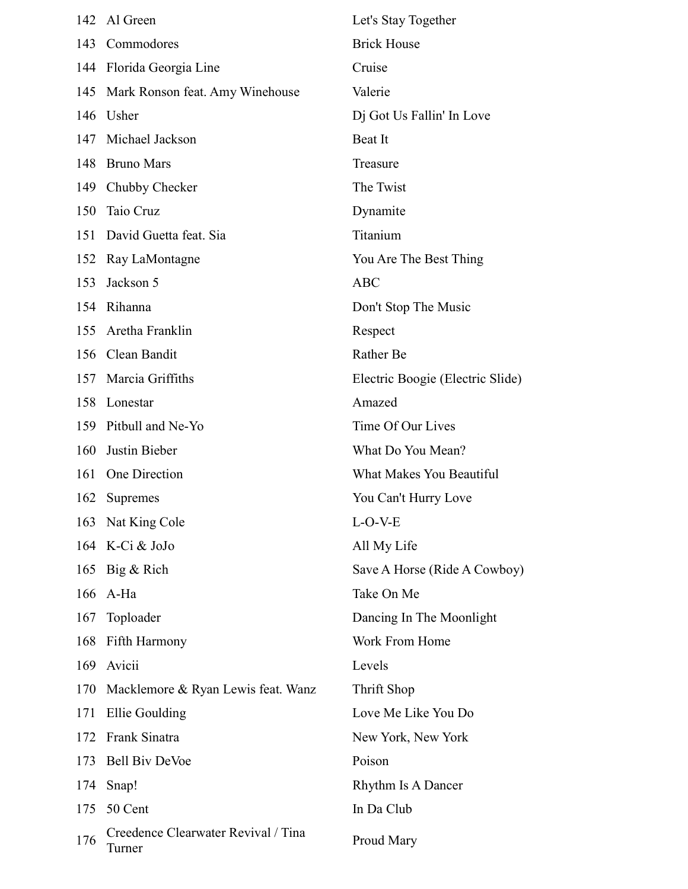|     | 142 Al Green                                  | Let's Stay Together              |
|-----|-----------------------------------------------|----------------------------------|
| 143 | Commodores                                    | <b>Brick House</b>               |
| 144 | Florida Georgia Line                          | Cruise                           |
| 145 | Mark Ronson feat. Amy Winehouse               | Valerie                          |
| 146 | Usher                                         | Di Got Us Fallin' In Love        |
| 147 | Michael Jackson                               | Beat It                          |
| 148 | <b>Bruno Mars</b>                             | Treasure                         |
| 149 | Chubby Checker                                | The Twist                        |
| 150 | Taio Cruz                                     | Dynamite                         |
| 151 | David Guetta feat. Sia                        | Titanium                         |
| 152 | Ray LaMontagne                                | You Are The Best Thing           |
| 153 | Jackson 5                                     | <b>ABC</b>                       |
| 154 | Rihanna                                       | Don't Stop The Music             |
| 155 | Aretha Franklin                               | Respect                          |
| 156 | Clean Bandit                                  | <b>Rather Be</b>                 |
| 157 | Marcia Griffiths                              | Electric Boogie (Electric Slide) |
| 158 | Lonestar                                      | Amazed                           |
| 159 | Pitbull and Ne-Yo                             | Time Of Our Lives                |
| 160 | Justin Bieber                                 | What Do You Mean?                |
| 161 | One Direction                                 | What Makes You Beautiful         |
| 162 | Supremes                                      | You Can't Hurry Love             |
| 163 | Nat King Cole                                 | $L-O-V-E$                        |
|     | 164 K-Ci & JoJo                               | All My Life                      |
| 165 | Big & Rich                                    | Save A Horse (Ride A Cowboy)     |
| 166 | A-Ha                                          | Take On Me                       |
| 167 | Toploader                                     | Dancing In The Moonlight         |
| 168 | Fifth Harmony                                 | Work From Home                   |
| 169 | Avicii                                        | Levels                           |
| 170 | Macklemore & Ryan Lewis feat. Wanz            | Thrift Shop                      |
| 171 | Ellie Goulding                                | Love Me Like You Do              |
| 172 | Frank Sinatra                                 | New York, New York               |
| 173 | <b>Bell Biv DeVoe</b>                         | Poison                           |
| 174 | Snap!                                         | Rhythm Is A Dancer               |
| 175 | 50 Cent                                       | In Da Club                       |
| 176 | Creedence Clearwater Revival / Tina<br>Turner | Proud Mary                       |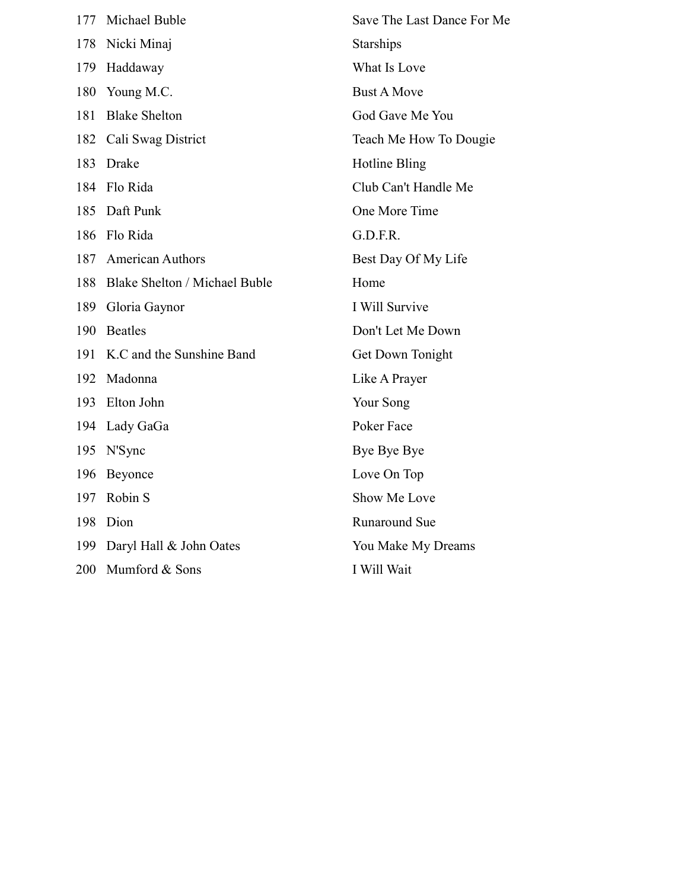| 177 | Michael Buble                 | Save The Last Dance For Me |
|-----|-------------------------------|----------------------------|
| 178 | Nicki Minaj                   | <b>Starships</b>           |
| 179 | Haddaway                      | What Is Love               |
| 180 | Young M.C.                    | <b>Bust A Move</b>         |
| 181 | <b>Blake Shelton</b>          | God Gave Me You            |
| 182 | Cali Swag District            | Teach Me How To Dougie     |
| 183 | <b>Drake</b>                  | Hotline Bling              |
| 184 | Flo Rida                      | Club Can't Handle Me       |
| 185 | Daft Punk                     | One More Time              |
| 186 | Flo Rida                      | G.D.F.R.                   |
| 187 | <b>American Authors</b>       | Best Day Of My Life        |
| 188 | Blake Shelton / Michael Buble | Home                       |
| 189 | Gloria Gaynor                 | I Will Survive             |
| 190 | <b>Beatles</b>                | Don't Let Me Down          |
| 191 | K.C and the Sunshine Band     | Get Down Tonight           |
| 192 | Madonna                       | Like A Prayer              |
| 193 | Elton John                    | Your Song                  |
| 194 | Lady GaGa                     | Poker Face                 |
| 195 | N'Sync                        | Bye Bye Bye                |
| 196 | Beyonce                       | Love On Top                |
| 197 | Robin S                       | Show Me Love               |
| 198 | Dion                          | <b>Runaround Sue</b>       |
| 199 | Daryl Hall & John Oates       | You Make My Dreams         |
| 200 | Mumford & Sons                | I Will Wait                |